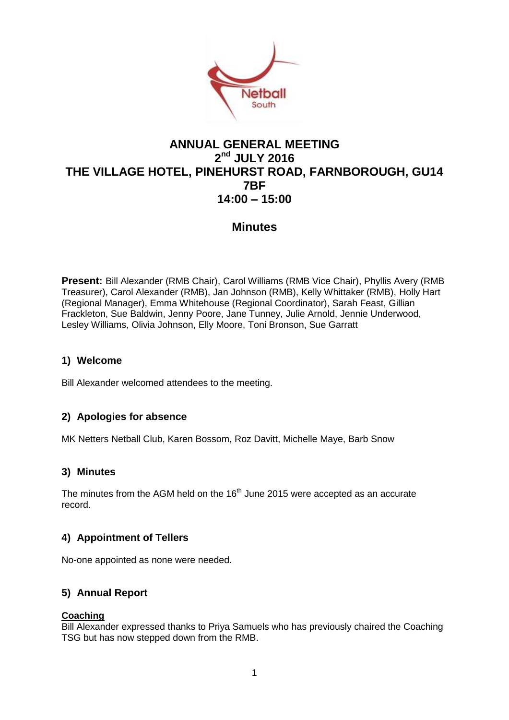

# **ANNUAL GENERAL MEETING 2 nd JULY 2016 THE VILLAGE HOTEL, PINEHURST ROAD, FARNBOROUGH, GU14 7BF 14:00 – 15:00**

## **Minutes**

**Present:** Bill Alexander (RMB Chair), Carol Williams (RMB Vice Chair), Phyllis Avery (RMB Treasurer), Carol Alexander (RMB), Jan Johnson (RMB), Kelly Whittaker (RMB), Holly Hart (Regional Manager), Emma Whitehouse (Regional Coordinator), Sarah Feast, Gillian Frackleton, Sue Baldwin, Jenny Poore, Jane Tunney, Julie Arnold, Jennie Underwood, Lesley Williams, Olivia Johnson, Elly Moore, Toni Bronson, Sue Garratt

## **1) Welcome**

Bill Alexander welcomed attendees to the meeting.

#### **2) Apologies for absence**

MK Netters Netball Club, Karen Bossom, Roz Davitt, Michelle Maye, Barb Snow

#### **3) Minutes**

The minutes from the AGM held on the  $16<sup>th</sup>$  June 2015 were accepted as an accurate record.

## **4) Appointment of Tellers**

No-one appointed as none were needed.

## **5) Annual Report**

#### **Coaching**

Bill Alexander expressed thanks to Priya Samuels who has previously chaired the Coaching TSG but has now stepped down from the RMB.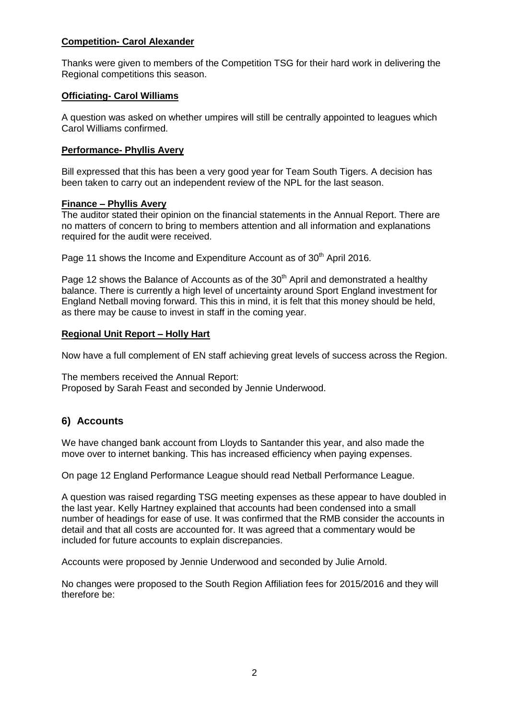### **Competition- Carol Alexander**

Thanks were given to members of the Competition TSG for their hard work in delivering the Regional competitions this season.

#### **Officiating- Carol Williams**

A question was asked on whether umpires will still be centrally appointed to leagues which Carol Williams confirmed.

#### **Performance- Phyllis Avery**

Bill expressed that this has been a very good year for Team South Tigers. A decision has been taken to carry out an independent review of the NPL for the last season.

#### **Finance – Phyllis Avery**

The auditor stated their opinion on the financial statements in the Annual Report. There are no matters of concern to bring to members attention and all information and explanations required for the audit were received.

Page 11 shows the Income and Expenditure Account as of 30<sup>th</sup> April 2016.

Page 12 shows the Balance of Accounts as of the  $30<sup>th</sup>$  April and demonstrated a healthy balance. There is currently a high level of uncertainty around Sport England investment for England Netball moving forward. This this in mind, it is felt that this money should be held, as there may be cause to invest in staff in the coming year.

#### **Regional Unit Report – Holly Hart**

Now have a full complement of EN staff achieving great levels of success across the Region.

The members received the Annual Report: Proposed by Sarah Feast and seconded by Jennie Underwood.

## **6) Accounts**

We have changed bank account from Lloyds to Santander this year, and also made the move over to internet banking. This has increased efficiency when paying expenses.

On page 12 England Performance League should read Netball Performance League.

A question was raised regarding TSG meeting expenses as these appear to have doubled in the last year. Kelly Hartney explained that accounts had been condensed into a small number of headings for ease of use. It was confirmed that the RMB consider the accounts in detail and that all costs are accounted for. It was agreed that a commentary would be included for future accounts to explain discrepancies.

Accounts were proposed by Jennie Underwood and seconded by Julie Arnold.

No changes were proposed to the South Region Affiliation fees for 2015/2016 and they will therefore be: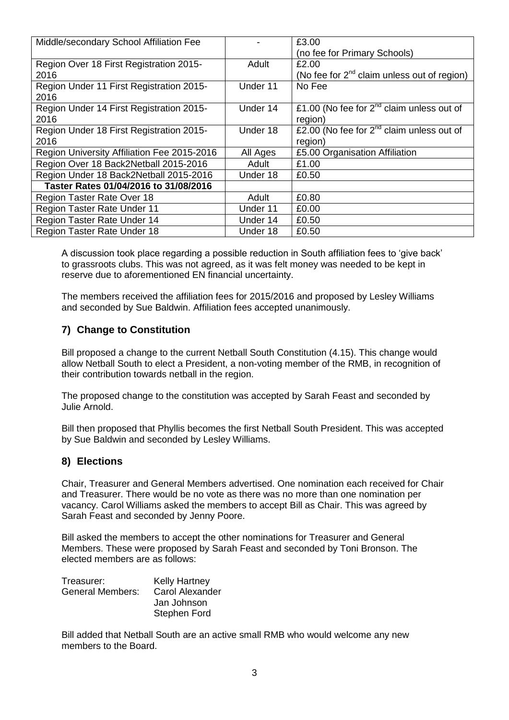| Middle/secondary School Affiliation Fee          |          | £3.00                                                   |
|--------------------------------------------------|----------|---------------------------------------------------------|
|                                                  |          | (no fee for Primary Schools)                            |
| Region Over 18 First Registration 2015-          | Adult    | £2.00                                                   |
| 2016                                             |          | (No fee for 2 <sup>nd</sup> claim unless out of region) |
| Region Under 11 First Registration 2015-<br>2016 | Under 11 | No Fee                                                  |
| Region Under 14 First Registration 2015-         | Under 14 | £1.00 (No fee for $2^{nd}$ claim unless out of          |
| 2016                                             |          | region)                                                 |
| Region Under 18 First Registration 2015-         | Under 18 | £2.00 (No fee for $2^{nd}$ claim unless out of          |
| 2016                                             |          | region)                                                 |
| Region University Affiliation Fee 2015-2016      | All Ages | £5.00 Organisation Affiliation                          |
| Region Over 18 Back2Netball 2015-2016            | Adult    | £1.00                                                   |
| Region Under 18 Back2Netball 2015-2016           | Under 18 | £0.50                                                   |
| Taster Rates 01/04/2016 to 31/08/2016            |          |                                                         |
| Region Taster Rate Over 18                       | Adult    | £0.80                                                   |
| <b>Region Taster Rate Under 11</b>               | Under 11 | £0.00                                                   |
| Region Taster Rate Under 14                      | Under 14 | £0.50                                                   |
| <b>Region Taster Rate Under 18</b>               | Under 18 | £0.50                                                   |

A discussion took place regarding a possible reduction in South affiliation fees to 'give back' to grassroots clubs. This was not agreed, as it was felt money was needed to be kept in reserve due to aforementioned EN financial uncertainty.

The members received the affiliation fees for 2015/2016 and proposed by Lesley Williams and seconded by Sue Baldwin. Affiliation fees accepted unanimously.

## **7) Change to Constitution**

Bill proposed a change to the current Netball South Constitution (4.15). This change would allow Netball South to elect a President, a non-voting member of the RMB, in recognition of their contribution towards netball in the region.

The proposed change to the constitution was accepted by Sarah Feast and seconded by Julie Arnold.

Bill then proposed that Phyllis becomes the first Netball South President. This was accepted by Sue Baldwin and seconded by Lesley Williams.

## **8) Elections**

Chair, Treasurer and General Members advertised. One nomination each received for Chair and Treasurer. There would be no vote as there was no more than one nomination per vacancy. Carol Williams asked the members to accept Bill as Chair. This was agreed by Sarah Feast and seconded by Jenny Poore.

Bill asked the members to accept the other nominations for Treasurer and General Members. These were proposed by Sarah Feast and seconded by Toni Bronson. The elected members are as follows:

| Treasurer:       | <b>Kelly Hartney</b> |
|------------------|----------------------|
| General Members: | Carol Alexander      |
|                  | Jan Johnson          |
|                  | Stephen Ford         |

Bill added that Netball South are an active small RMB who would welcome any new members to the Board.